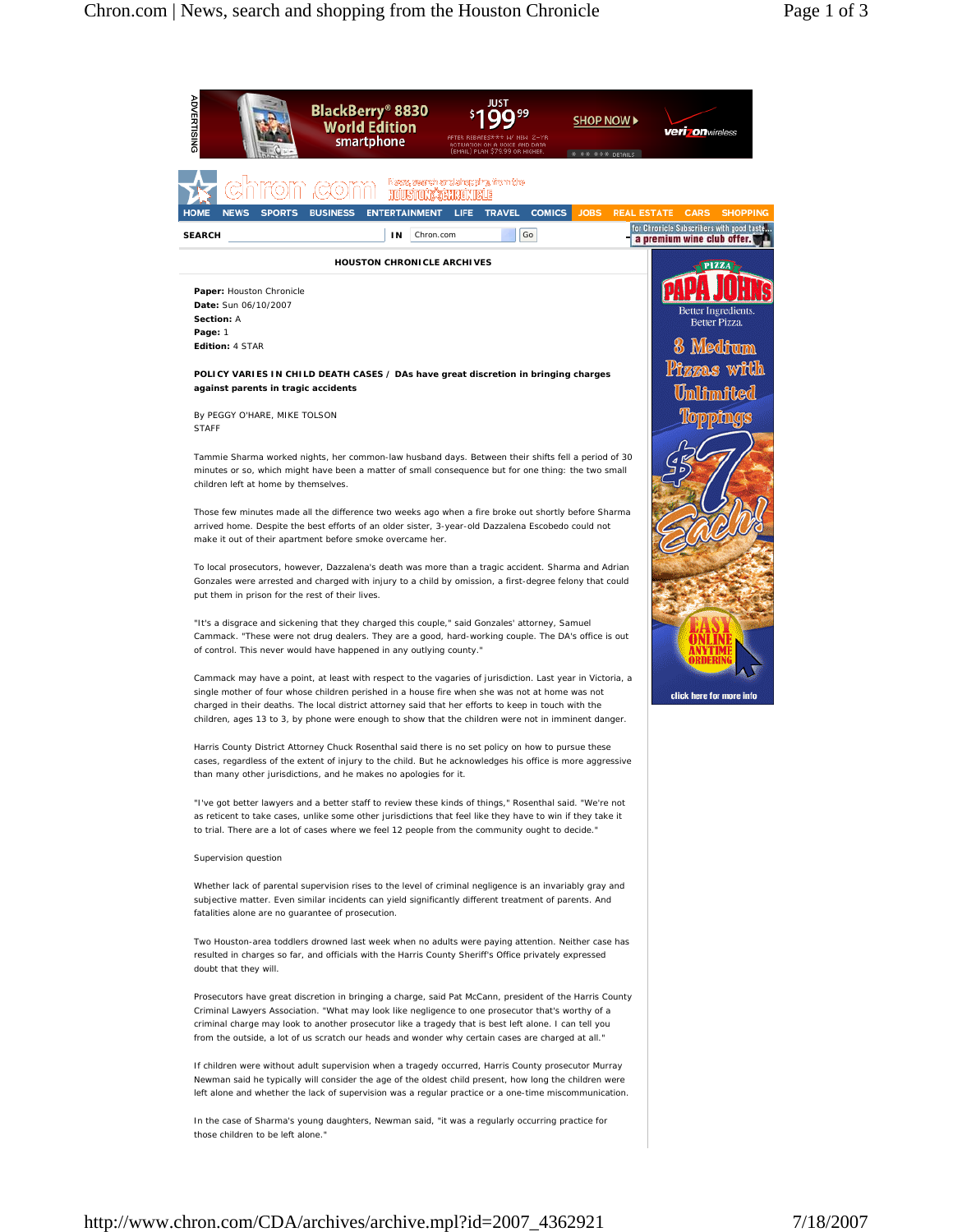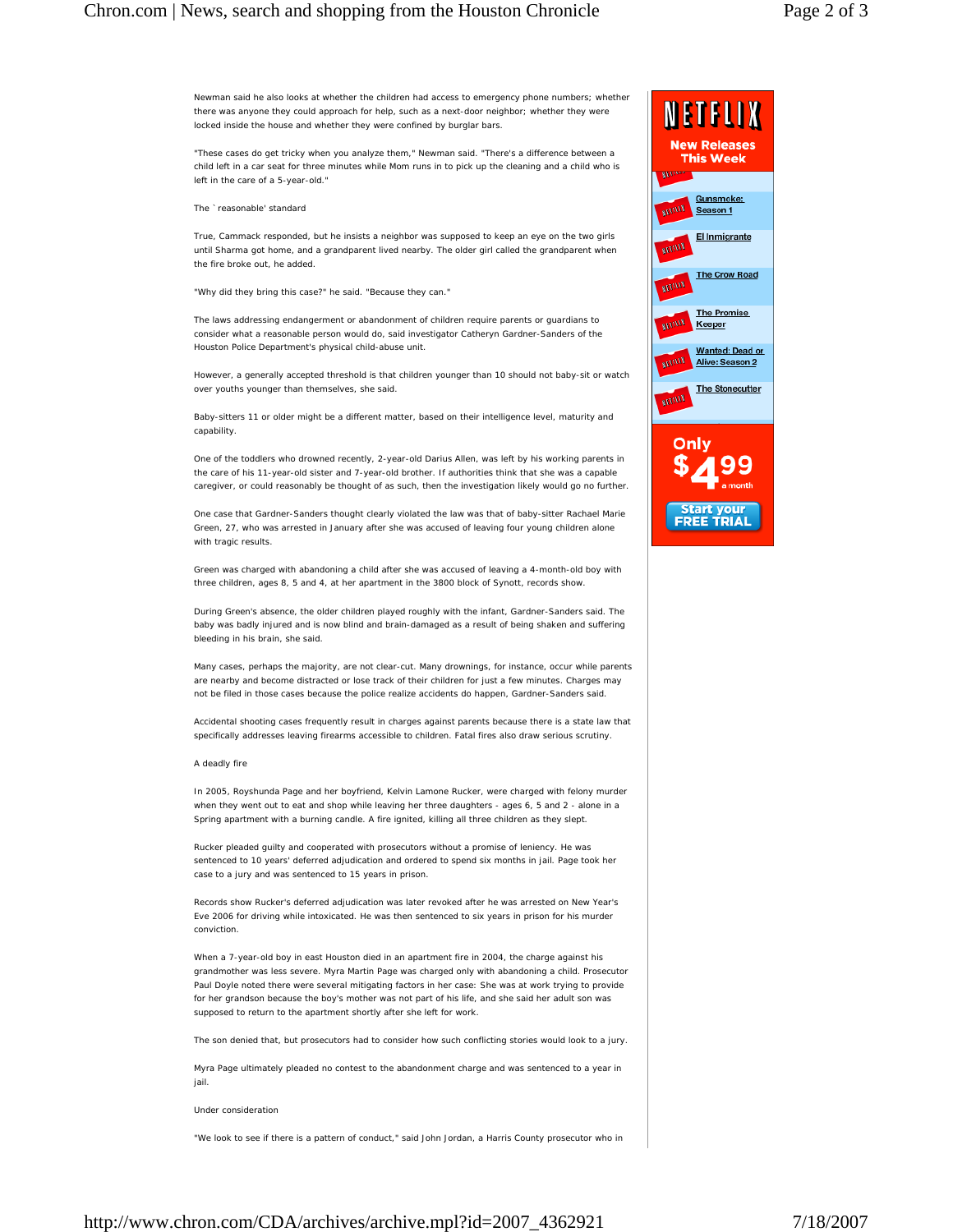## Chron.com | News, search and shopping from the Houston Chronicle Page 2 of 3

Newman said he also looks at whether the children had access to emergency phone numbers; whether there was anyone they could approach for help, such as a next-door neighbor; whether they were locked inside the house and whether they were confined by burglar bars.

"These cases do get tricky when you analyze them," Newman said. "There's a difference between a child left in a car seat for three minutes while Mom runs in to pick up the cleaning and a child who is left in the care of a 5-year-old."

The `reasonable' standard

True, Cammack responded, but he insists a neighbor was supposed to keep an eye on the two girls until Sharma got home, and a grandparent lived nearby. The older girl called the grandparent when the fire broke out, he added.

"Why did they bring this case?" he said. "Because they can."

The laws addressing endangerment or abandonment of children require parents or guardians to consider what a reasonable person would do, said investigator Catheryn Gardner-Sanders of the Houston Police Department's physical child-abuse unit.

However, a generally accepted threshold is that children younger than 10 should not baby-sit or watch over youths younger than themselves, she said.

Baby-sitters 11 or older might be a different matter, based on their intelligence level, maturity and capability.

One of the toddlers who drowned recently, 2-year-old Darius Allen, was left by his working parents in the care of his 11-year-old sister and 7-year-old brother. If authorities think that she was a capable caregiver, or could reasonably be thought of as such, then the investigation likely would go no further.

One case that Gardner-Sanders thought clearly violated the law was that of baby-sitter Rachael Marie Green, 27, who was arrested in January after she was accused of leaving four young children alone with tragic results.

Green was charged with abandoning a child after she was accused of leaving a 4-month-old boy with three children, ages 8, 5 and 4, at her apartment in the 3800 block of Synott, records show.

During Green's absence, the older children played roughly with the infant, Gardner-Sanders said. The baby was badly injured and is now blind and brain-damaged as a result of being shaken and suffering bleeding in his brain, she said.

Many cases, perhaps the majority, are not clear-cut. Many drownings, for instance, occur while parents are nearby and become distracted or lose track of their children for just a few minutes. Charges may not be filed in those cases because the police realize accidents do happen, Gardner-Sanders said.

Accidental shooting cases frequently result in charges against parents because there is a state law that specifically addresses leaving firearms accessible to children. Fatal fires also draw serious scrutiny.

## A deadly fire

In 2005, Royshunda Page and her boyfriend, Kelvin Lamone Rucker, were charged with felony murder when they went out to eat and shop while leaving her three daughters - ages 6, 5 and 2 - alone in a Spring apartment with a burning candle. A fire ignited, killing all three children as they slept.

Rucker pleaded guilty and cooperated with prosecutors without a promise of leniency. He was sentenced to 10 years' deferred adjudication and ordered to spend six months in jail. Page took her case to a jury and was sentenced to 15 years in prison.

Records show Rucker's deferred adjudication was later revoked after he was arrested on New Year's Eve 2006 for driving while intoxicated. He was then sentenced to six years in prison for his murder conviction.

When a 7-year-old boy in east Houston died in an apartment fire in 2004, the charge against his grandmother was less severe. Myra Martin Page was charged only with abandoning a child. Prosecutor Paul Doyle noted there were several mitigating factors in her case: She was at work trying to provide for her grandson because the boy's mother was not part of his life, and she said her adult son was supposed to return to the apartment shortly after she left for work.

The son denied that, but prosecutors had to consider how such conflicting stories would look to a jury.

Myra Page ultimately pleaded no contest to the abandonment charge and was sentenced to a year in jail.

Under consideration

"We look to see if there is a pattern of conduct," said John Jordan, a Harris County prosecutor who in